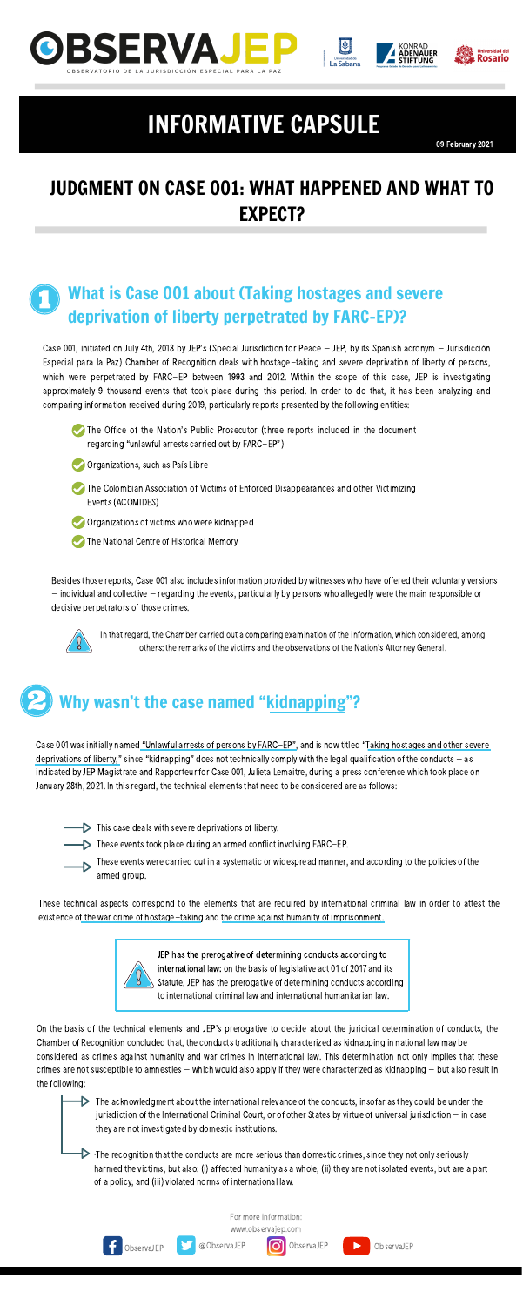### JUDGMENT ON CASE 001: WHAT HAPPENED AND WHAT TO EXPECT?



09 February 2021







## INFORMATIVE CAPSULE

#### What is Case 001 about (Taking hostages and severe deprivation of liberty perpetrated by FARC-EP)?

Case 001, initiated on July 4th, 2018 by JEP's (Special Jurisdiction for Peace – JEP, by its Spanish acronym – Jurisdicción Especial para la Paz) Chamber of Recognition deals with hostage-taking and severe deprivation of liberty of persons, which were perpetrated by FARC-EP between 1993 and 2012. Within the scope of this case, JEP is investigating approximately 9 thousand events that took place during this period. In order to do that, it has been analyzing and comparing information received during 2019, particularly reports presented by the following entities:

Besides those reports, Case 001 also includes information provided by witnesses who have offered their voluntary versions – individual and collective – regarding the events, particularly by persons who allegedly were the main responsible or decisive perpetrators of those crimes.





- Organizations, such as País Libre
- The Colombian Association of Victims of Enforced Disappearances and other Victimizing Events(ACOMIDES)
- $\bigcirc$  Organizations of victims who were kidnapped
- The National Centre of Historical Memory

JEP has the prerogative of determining conducts according to international law: on the basis of legislative act 01 of 2017 and its Statute, JEP has the prerogative of determining conducts according to international criminal law and international humanitarian law.

These technical aspects correspond to the elements that are required by international criminal law in order to attest the existence of the war crime of hostage-taking and the crime against humanity of imprisonment.



 $\triangleright$  The acknowledgment about the international relevance of the conducts, insofar as they could be under the jurisdiction of the International Criminal Court, or of other States by virtue of universal jurisdiction - in case they are not investigated by domestic institutions.

 $\triangleright$   $\cdot$ The recognition that the conducts are more serious than domestic crimes, since they not only seriously harmed the victims, but also: (i) affected humanity as a whole, (ii) they are not isolated events, but are a part of a policy, and (iii) violated norms of international law.

In that regard, the Chamber carried out a comparing examination of the information, which considered, among others: the remarks of the victims and the observations of the Nation's Attorney General.

## Why wasn't the case named "kidnapping"?

Case 001 was initially named "Unlawful arrests of persons by FARC-EP", and is now titled "Taking hostages and other severe deprivations of liberty," since "kidnapping" does not technically comply with the legal qualification of the conducts – as indicated by JEP Magistrate and Rapporteur for Case 001, Julieta Lemaitre, during a press conference which took place on

January 28th, 2021. In this regard, the technical elements that need to be considered are as follows:

 $\triangleright$  This case deals with severe deprivations of liberty.

These events took place during an armed conflict involving FARC-EP.



These events were carried out in a systematic or widespread manner, and according to the policies of the armed group.

On the basis of the technical elements and JEP's prerogative to decide about the juridical determination of conducts, the Chamber of Recognition concluded that, the conducts traditionally characterized as kidnapping in national law may be considered as crimes against humanity and war crimes in international law. This determination not only implies that these  $c$ rimes are not susceptible to amnesties – which would also apply if they were characterized as kidnapping – but also result in the following:

For more information:

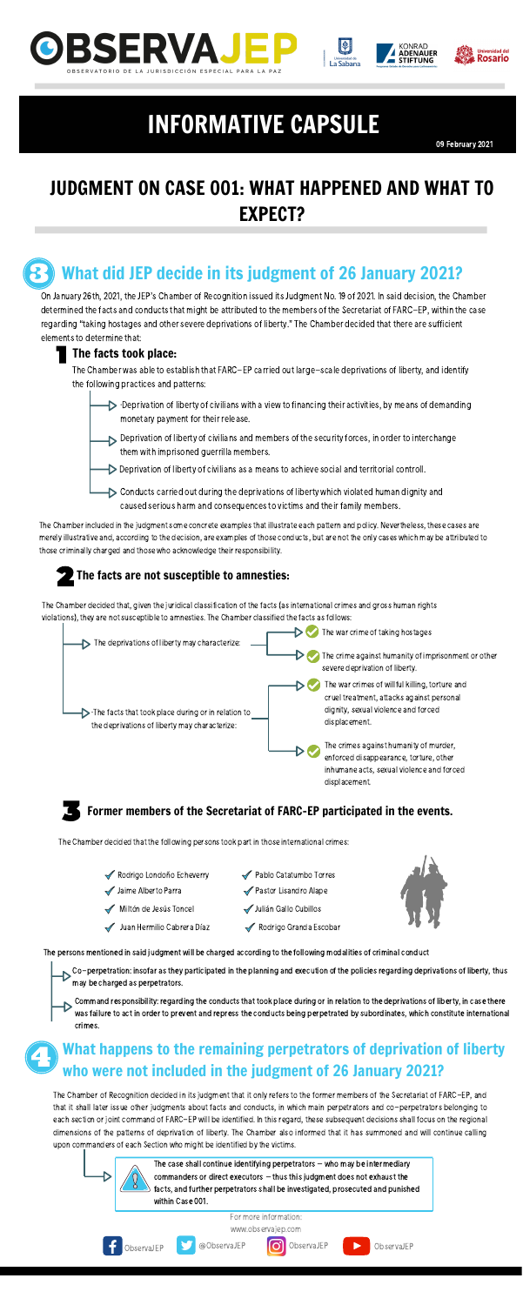



### What did JEP decide in its judgment of 26 January 2021?

On January 26th, 2021, the JEP's Chamber of Recognition issued its Judgment No. 19 of 2021. In said decision, the Chamber determined the facts and conducts that might be attributed to the members of the Secretariat of FARC-EP, within the case regarding "taking hostages and other severe deprivations of liberty." The Chamber decided that there are sufficient elements to determine that:

#### The facts took place:

The Chamber was able to establish that FARC-EP carried out large-scale deprivations of liberty, and identify the following practices and patterns:

- $\triangleright$   $\cdot$ Deprivation of liberty of civilians with a view to financing their activities, by means of demanding monetary payment for their release.
- $\triangleright$  Deprivation of liberty of civilians and members of the security forces, in order to interchange them with imprisoned guerrilla members.
- Deprivation of liberty of civilians as a means to achieve social and territorial controll.
- Conducts carried out during the deprivations of liberty which violated human dignity and caused serious harm and consequences to victims and their family members.

The Chamber included in the judgment some concrete examples that illustrate each pattern and policy. Nevertheless, these cases are merelyillustrative and, according to the decision, are examples of those conducts, but are not the only cases which may be attributed to those criminally charged and those who acknowledge their responsibility.

The Chamber of Recognition decided in its judgment that it only refers to the former members of the Secretariat of FARC-EP, and that it shall later issue other judgments about facts and conducts, in which main perpetrators and co-perpetrators belonging to each section or joint command of FARC-EP will be identified. In this regard, these subsequent decisions shall focus on the regional dimensions of the patterns of deprivation of liberty. The Chamber also informed that it has summoned and will continue calling upon commanders of each Section who might be identified by the victims.

#### The facts are not susceptible to amnesties:

The Chamber decided that, given the juridical classification of the facts (as international crimes and gross human rights violations), they are not susceptible to amnesties. The Chamber classified the facts as follows:



Co-perpetration: insofar as they participated in the planning and execution of the policies regarding deprivations of liberty, thus may be charged as perpetrators.

Command responsibility: regarding the conducts that took place during or in relation to the deprivations of liberty, in case there was failure to act in order to prevent and repress the conducts being perpetrated by subordinates, which constitute international crimes.

inhumane acts, sexual violence and forced

#### Former members of the Secretariat of FARC-EP participated in the events.

The Chamber decided that the following persons took part in those international crimes:

Rodrigo Londoño Echeverry Jaime Alberto Parra Miltón de Jesús Toncel Juan Hermilio Cabrera Díaz Pablo Catatumbo Torres ◆ Pastor Lisandro Alape Julián Gallo Cubillos Rodrigo Granda Escobar



#### What happens to the remaining perpetrators of deprivation of liberty who were not included in the judgment of 26 January 2021?

The case shall continue identifying perpetrators – who may be intermediary commanders or direct executors  $-$  thus this judgment does not exhaust the facts, and further perpetrators shall be investigated, prosecuted and punished within Case 001.

The persons mentioned in said judgment will be charged according to the following modalities of criminal conduct

## JUDGMENT ON CASE 001: WHAT HAPPENED AND WHAT TO EXPECT?







# INFORMATIVE CAPSULE

For more information:

[www.observajep.com](http://observajep.com/index.php)

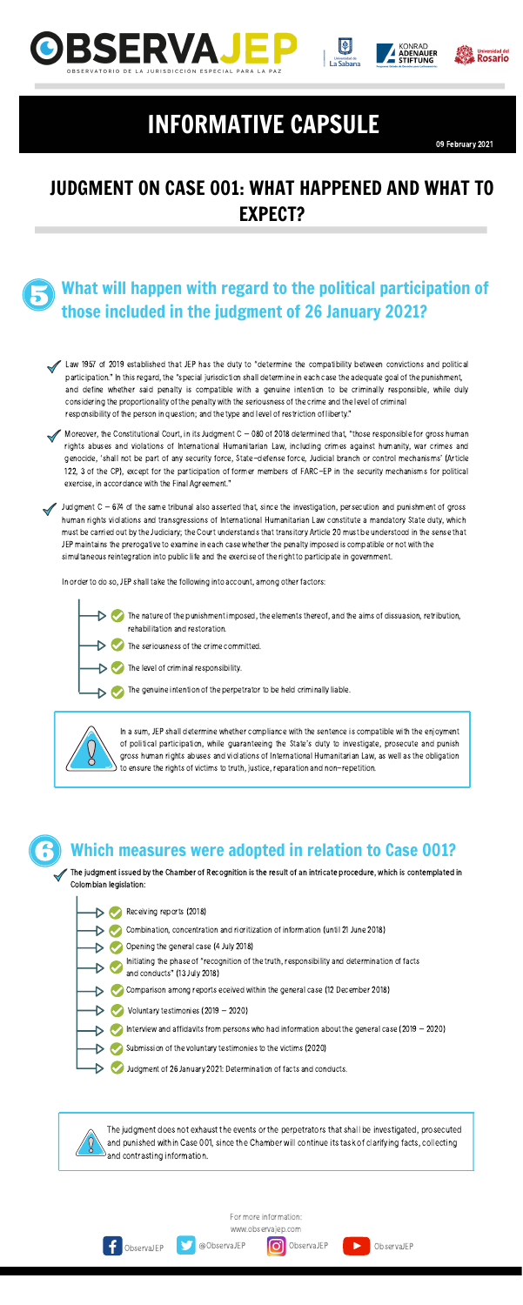### What will happen with regard to the political participation of those included in the judgment of 26 January 2021?

Law 1957 of 2019 established that JEP has the duty to "determine the compatibility between convictions and political participation." In thisregard, the "special jurisdiction shall determine in each case the adequate goal of the punishment, and define whether said penalty is compatible with a genuine intention to be criminally responsible, while duly considering the proportionality of the penalty with the seriousness of the crime and the level of criminal responsibility of the person in question; and the type and level of restriction of liberty."

Moreover, the Constitutional Court, in its Judgment  $C - 080$  of 2018 determined that, "those responsible for gross human rights abuses and violations of International Humanitarian Law, including crimes against humanity, war crimes and genocide, 'shall not be part of any security force, State-defense force, Judicial branch or control mechanisms' (Article 122, 3 of the CP), except for the participation of former members of FARC-EP in the security mechanisms for political exercise, in accordance with the Final Agreement."

Judgment C – 674 of the same tribunal also asserted that, since the investigation, persecution and punishment of gross human rights violations and transgressions of International Humanitarian Law constitute a mandatory State duty, which must be carried out by the Judiciary; the Court understands that transitory Article 20 must be understood in the sense that JEP maintains the prerogative to examine in each case whether the penalty imposed is compatible or not with the simultaneous reintegration into public life and the exercise of the right to participate in government.

> In a sum, JEP shall determine whether compliance with the sentence is compatible with the enjoyment of political participation, while guaranteeing the State's duty to investigate, prosecute and punish gross human rights abuses and violations of International Humanitarian Law, as well as the obligation to ensure the rights of victims to truth, justice, reparation and non-repetition.

The judgment issued by the Chamber of Recognition is the result of an intricate procedure, which is contemplated in Colombian legislation:

The judgment does not exhaust the events or the perpetrators that shall be investigated, prosecuted and punished within Case 001, since the Chamber will continue its task of clarifying facts, collecting and contrasting information.

In order to do so, JEP shall take the following into account, among other factors:

- The nature of the punishment imposed, the elements thereof, and the aims of dissuasion, retribution, rehabilitation and restoration.
	- The seriousness of the crime committed.
	- The level of criminal responsibility.
		- The genuine intention of the perpetrator to be held criminally liable.





### Which measures were adopted in relation to Case 001?



### JUDGMENT ON CASE 001: WHAT HAPPENED AND WHAT TO EXPECT?

09 February 2021







## INFORMATIVE CAPSULE

For more information:

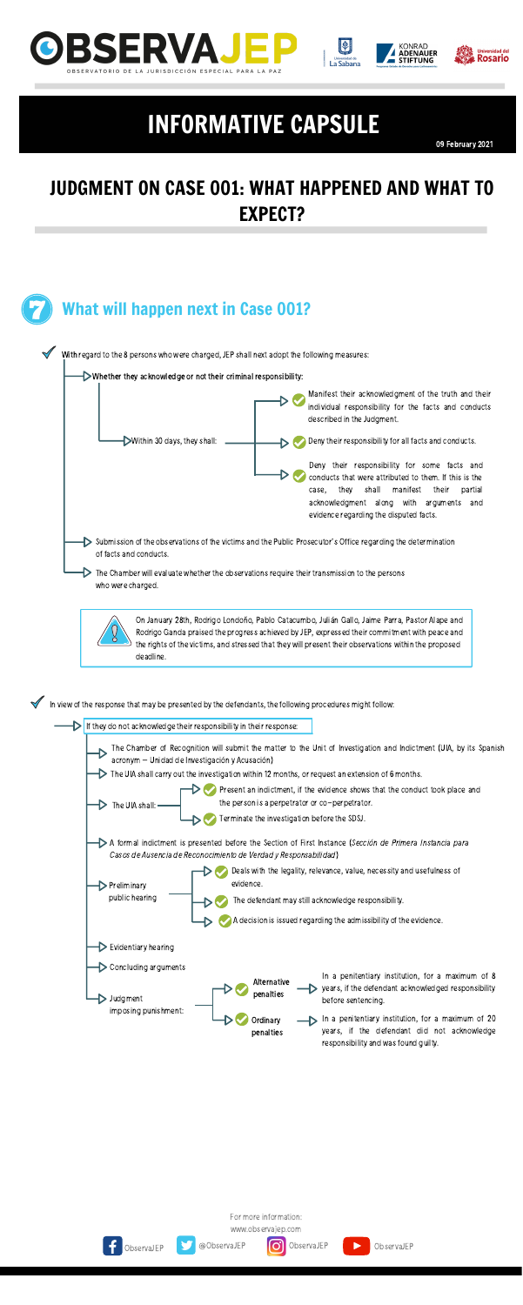







### JUDGMENT ON CASE 001: WHAT HAPPENED AND WHAT TO EXPECT?

09 February 2021







## INFORMATIVE CAPSULE

For more information: [www.observajep.com](http://observajep.com/index.php)